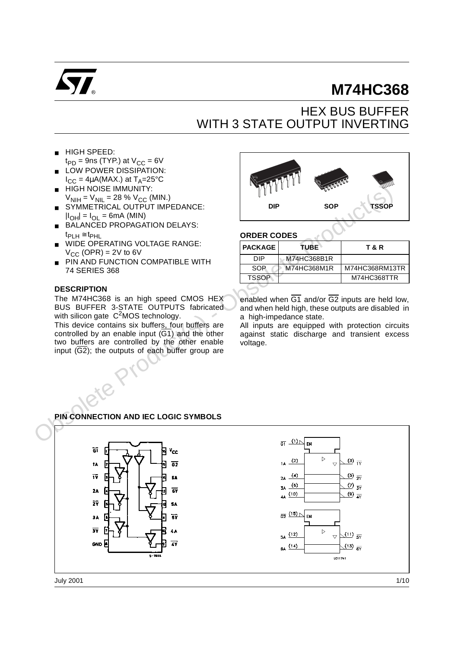

# **M74HC368**

# HEX BUS BUFFER WITH 3 STATE OUTPUT INVERTING

- HIGH SPEED:
- $t_{PD}$  = 9ns (TYP.) at  $V_{CC}$  = 6V
- LOW POWER DISSIPATION:  $I_{CC} = 4\mu A(MAX.)$  at  $T_A = 25^{\circ}C$
- HIGH NOISE IMMUNITY:  $V_{\text{NIH}} = V_{\text{NIL}} = 28 \% V_{\text{CC}}$  (MIN.)
- SYMMETRICAL OUTPUT IMPEDANCE:  $|I_{\text{OH}}| = I_{\text{OH}} = 6$ mA (MIN)
- BALANCED PROPAGATION DELAYS:  $t_{\text{PLH}} \cong t_{\text{PHL}}$
- WIDE OPERATING VOLTAGE RANGE:  $V_{CC}$  (OPR) = 2V to 6V
- PIN AND FUNCTION COMPATIBLE WITH 74 SERIES 368

#### **DESCRIPTION**

The M74HC368 is an high speed CMOS HEX BUS BUFFER 3-STATE OUTPUTS fabricated with silicon gate  $C^2$ MOS technology.

This device contains six buffers, four buffers are controlled by an enable input  $(\overline{G1})$  and the other two buffers are controlled by the other enable input  $(\overline{G2})$ ; the outputs of each buffer group are



#### **ORDER CODES**

| <b>PACKAGE</b> | TUBE`       | T & R          |
|----------------|-------------|----------------|
| DIP            | M74HC368B1R |                |
| <b>SOP</b>     | M74HC368M1R | M74HC368RM13TR |
| <b>TSSOP</b>   |             | M74HC368TTR    |
|                |             |                |

enabled when  $\overline{G1}$  and/or  $\overline{G2}$  inputs are held low, and when held high, these outputs are disabled in a high-impedance state.

All inputs are equipped with protection circuits against static discharge and transient excess voltage.

### **PIN CONNECTION AND IEC LOGIC SYMBOLS**

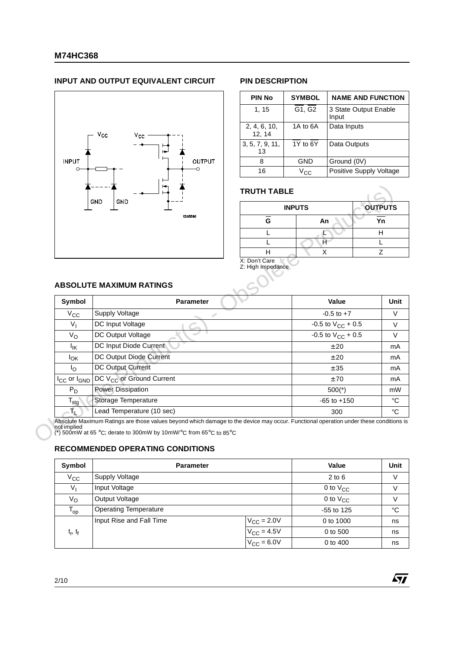#### **INPUT AND OUTPUT EQUIVALENT CIRCUIT PIN DESCRIPTION**



| <b>PIN No</b>          | <b>SYMBOL</b>   | <b>NAME AND FUNCTION</b>       |
|------------------------|-----------------|--------------------------------|
| 1, 15                  | G1, G2          | 3 State Output Enable<br>Input |
| 2, 4, 6, 10,<br>12, 14 | 1A to 6A        | Data Inputs                    |
| 3, 5, 7, 9, 11,<br>13  | 1Y to 6Y        | Data Outputs                   |
| 8                      | GND             | Ground (0V)                    |
| 16                     | $V_{\text{C}C}$ | Positive Supply Voltage        |

### **TRUTH TABLE**

|   | <b>INPUTS</b> | <b>OUTPUTS</b> |
|---|---------------|----------------|
| G | An            | Yn             |
|   |               |                |
|   |               |                |
|   |               |                |

57

#### **ABSOLUTE MAXIMUM RATINGS**

|                           | GND<br>GND                                                                                                                                                                                                                                           | <b>INPUTS</b>     |                        | <b>OUTPUTS</b> |
|---------------------------|------------------------------------------------------------------------------------------------------------------------------------------------------------------------------------------------------------------------------------------------------|-------------------|------------------------|----------------|
|                           | <b>CS03580</b>                                                                                                                                                                                                                                       | G                 | An                     |                |
|                           |                                                                                                                                                                                                                                                      | L                 |                        |                |
|                           |                                                                                                                                                                                                                                                      |                   | Ĥ.                     |                |
|                           |                                                                                                                                                                                                                                                      | Н                 | X                      |                |
|                           | X: Don't Care<br><b>ABSOLUTE MAXIMUM RATINGS</b>                                                                                                                                                                                                     | Z: High Impedance |                        |                |
| Symbol                    | Parameter                                                                                                                                                                                                                                            |                   | Value                  |                |
| $V_{\rm CC}$              | Supply Voltage                                                                                                                                                                                                                                       |                   | $-0.5$ to $+7$         |                |
| $V_{I}$                   | DC Input Voltage                                                                                                                                                                                                                                     |                   | -0.5 to $V_{CC}$ + 0.5 |                |
| $V_{\rm O}$               | DC Output Voltage                                                                                                                                                                                                                                    |                   | -0.5 to $V_{CC}$ + 0.5 |                |
| $I_{IK}$                  | DC Input Diode Current                                                                                                                                                                                                                               |                   | ± 20                   |                |
| <sup>I</sup> OK           | DC Output Diode Current                                                                                                                                                                                                                              |                   | ± 20                   |                |
| $I_{\rm O}$               | DC Output Current                                                                                                                                                                                                                                    |                   | ± 35                   |                |
| $I_{CC}$ or $I_{GND}$     | DC V <sub>CC</sub> or Ground Current                                                                                                                                                                                                                 |                   | ±70                    |                |
| $P_D$                     | <b>Power Dissipation</b>                                                                                                                                                                                                                             |                   | $500(*)$               |                |
| $\mathsf{T}_{\text{stg}}$ | Storage Temperature                                                                                                                                                                                                                                  |                   | $-65$ to $+150$        |                |
| T.                        | Lead Temperature (10 sec)                                                                                                                                                                                                                            |                   | 300                    |                |
| not implied               | Absolute Maximum Ratings are those values beyond which damage to the device may occur. Functional operation under these conditions is<br>(*) 500mW at 65 °C; derate to 300mW by 10mW/°C from 65°C to 85°C<br><b>RECOMMENDED OPERATING CONDITIONS</b> |                   |                        |                |
|                           |                                                                                                                                                                                                                                                      |                   |                        |                |

#### **RECOMMENDED OPERATING CONDITIONS**

| Symbol                     | <b>Parameter</b>             |                        | Value         | Unit        |
|----------------------------|------------------------------|------------------------|---------------|-------------|
| $V_{\rm CC}$               | Supply Voltage               |                        | $2$ to $6$    | V           |
| V,                         | Input Voltage                |                        | 0 to $V_{CC}$ | V           |
| Vo                         | Output Voltage               |                        | 0 to $V_{CC}$ | V           |
| $\mathsf{T}_{\mathsf{op}}$ | <b>Operating Temperature</b> |                        | $-55$ to 125  | $^{\circ}C$ |
|                            | Input Rise and Fall Time     | $V_{\text{CC}} = 2.0V$ | 0 to 1000     | ns          |
| $t_r$ , $t_f$              |                              | $V_{\text{CC}} = 4.5V$ | 0 to 500      | ns          |
|                            |                              | $V_{\text{CC}} = 6.0V$ | 0 to 400      | ns          |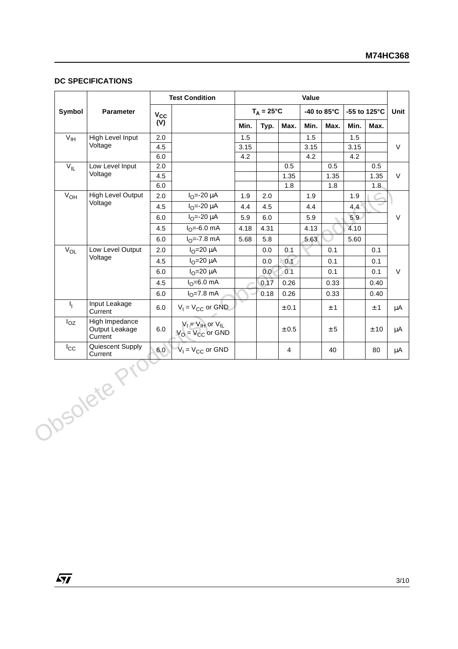#### **DC SPECIFICATIONS**

|                     |                                             |              | <b>Test Condition</b>                               | Value |                     |                |      |             |              |          |
|---------------------|---------------------------------------------|--------------|-----------------------------------------------------|-------|---------------------|----------------|------|-------------|--------------|----------|
| Symbol              | Parameter                                   | $V_{\rm CC}$ |                                                     |       | $T_A = 25^{\circ}C$ |                |      | -40 to 85°C | -55 to 125°C |          |
|                     |                                             | (V)          |                                                     | Min.  | Typ.                | Max.           | Min. | Max.        | Min.         | Max.     |
| V <sub>IH</sub>     | High Level Input                            | 2.0          |                                                     | 1.5   |                     |                | 1.5  |             | 1.5          |          |
|                     | Voltage                                     | 4.5          |                                                     | 3.15  |                     |                | 3.15 |             | 3.15         |          |
|                     |                                             | 6.0          |                                                     | 4.2   |                     |                | 4.2  |             | 4.2          |          |
| V <sub>IL</sub>     | Low Level Input<br>Voltage                  | 2.0          |                                                     |       |                     | 0.5            |      | 0.5         |              | 0.5      |
|                     |                                             | 4.5<br>6.0   |                                                     |       |                     | 1.35<br>1.8    |      | 1.35<br>1.8 |              | 1.35     |
| $\overline{V}_{OH}$ | <b>High Level Output</b>                    | 2.0          | $IO=-20 \mu A$                                      | 1.9   | 2.0                 |                | 1.9  |             | 1.9          | 1.8      |
|                     | Voltage                                     | 4.5          | $I_{\Omega} = -20 \mu A$                            | 4.4   | 4.5                 |                | 4.4  |             | 4.4          |          |
|                     |                                             | 6.0          | $I_{O} = -20 \mu A$                                 | 5.9   | 6.0                 |                | 5.9  |             | 5.9          |          |
|                     |                                             | 4.5          | $I_{\Omega} = -6.0$ mA                              | 4.18  | 4.31                |                | 4.13 |             | 4.10         |          |
|                     |                                             | $6.0\,$      | $IO=-7.8 mA$                                        | 5.68  | 5.8                 |                | 5.63 |             | 5.60         |          |
| $V_{OL}$            | Low Level Output                            | 2.0          | $IO=20 \mu A$                                       |       | 0.0                 | 0.1            |      | 0.1         |              | 0.1      |
|                     | Voltage                                     | 4.5          | $IO=20 \mu A$                                       |       | 0.0                 | 0.1            |      | 0.1         |              | 0.1      |
|                     |                                             | 6.0          | $IO=20 \mu A$                                       |       | 0.0                 | 0.1            |      | 0.1         |              | 0.1      |
|                     |                                             | 4.5          | $IO=6.0$ mA                                         |       | 0.17                | 0.26           |      | 0.33        |              | 0.40     |
|                     |                                             | 6.0          | $IO=7.8 mA$                                         |       | 0.18                | 0.26           |      | 0.33        |              | 0.40     |
| $I_1$               | Input Leakage<br>Current                    | 6.0          | $V_1 = V_{CC}$ or GND                               |       |                     | $\pm$ 0.1      |      | ± 1         |              | $\pm$ 1  |
| $I_{OZ}$            | High Impedance<br>Output Leakage<br>Current | 6.0          | $V_I = V_{IH}$ or $V_{IL}$<br>$V_O = V_{CC}$ or GND |       |                     | $\pm$ 0.5      |      | ± 5         |              | $\pm$ 10 |
| $I_{\rm CC}$        | Quiescent Supply<br>Current<br>Obsolete Pri | 6.0          | $V_1 = V_{CC}$ or GND                               |       |                     | $\overline{4}$ |      | 40          |              | 80       |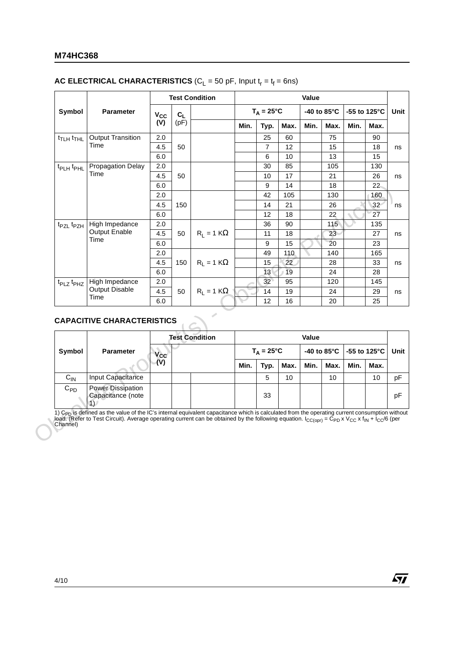#### **M74HC368**

#### **AC ELECTRICAL CHARACTERISTICS** ( $C_L$  = 50 pF, Input  $t_r = t_f = 6$ ns)

|                                   |                                   |                     | <b>Test Condition</b> |                       |      | Value               |            |       |             |                         |                 |
|-----------------------------------|-----------------------------------|---------------------|-----------------------|-----------------------|------|---------------------|------------|-------|-------------|-------------------------|-----------------|
| Symbol                            | <b>Parameter</b>                  | $V_{CC}$            | $C_L$                 |                       |      | $T_A = 25^{\circ}C$ |            |       | -40 to 85°C | -55 to 125 $^{\circ}$ C |                 |
|                                   |                                   | (V)                 | (pF)                  |                       | Min. | Typ.                | Max.       | Min.  | Max.        | Min.                    | Max.            |
| t <sub>TLH</sub> t <sub>THL</sub> | <b>Output Transition</b>          | 2.0                 |                       |                       |      | 25                  | 60         |       | 75          |                         | 90              |
|                                   | Time                              | 4.5                 | 50                    |                       |      | 7                   | 12         |       | 15          |                         | 18              |
|                                   |                                   | 6.0                 |                       |                       |      | 6                   | 10         |       | 13          |                         | 15              |
| t <sub>PLH</sub> t <sub>PHL</sub> | <b>Propagation Delay</b>          | 2.0                 |                       |                       |      | 30                  | 85         |       | 105         |                         | 130             |
|                                   | Time                              | 4.5                 | 50                    |                       |      | 10                  | 17         |       | 21          |                         | 26              |
|                                   |                                   | 6.0                 |                       |                       |      | 9                   | 14         |       | 18          |                         | 22              |
|                                   |                                   | 2.0                 |                       |                       |      | 42                  | 105        |       | 130         |                         | 160             |
|                                   |                                   | 4.5                 | 150                   |                       |      | 14                  | 21         |       | 26          |                         | 32 <sup>2</sup> |
|                                   |                                   | 6.0                 |                       |                       |      | 12                  | 18         |       | 22          |                         | 27              |
| t <sub>PZL</sub> t <sub>PZH</sub> | High Impedance                    | 2.0                 |                       |                       |      | 36                  | 90         |       | 115         |                         | 135             |
|                                   | <b>Output Enable</b>              | 4.5                 | 50                    | $R_1 = 1 K\Omega$     |      | 11                  | 18         |       | 23          |                         | 27              |
|                                   | Time                              | 6.0                 |                       |                       |      | $\boldsymbol{9}$    | 15         |       | 20          |                         | 23              |
|                                   |                                   | 2.0                 |                       |                       |      | 49                  | 110        |       | 140         |                         | 165             |
|                                   |                                   | 4.5                 | 150                   | $R_1 = 1 K\Omega$     |      | 15                  | 22         |       | 28          |                         | 33              |
|                                   |                                   | 6.0                 |                       |                       |      | 13                  | 19         |       | 24          |                         | 28              |
| t <sub>PLZ</sub> t <sub>PHZ</sub> | High Impedance                    | 2.0                 |                       |                       |      | 32                  | 95         |       | 120         |                         | 145             |
|                                   |                                   |                     |                       |                       |      |                     |            |       |             |                         |                 |
|                                   | <b>Output Disable</b>             | 4.5                 | 50                    | $R_1 = 1 K\Omega$     |      | 14                  | 19         |       | 24          |                         |                 |
|                                   | Time                              | 6.0                 |                       |                       |      | 12                  | 16         |       | 20          |                         | 29<br>25        |
|                                   | <b>CAPACITIVE CHARACTERISTICS</b> |                     |                       | <b>Test Condition</b> |      |                     |            | Value |             |                         |                 |
| Symbol                            | <b>Parameter</b>                  | $V_{\rm CC}$<br>(V) |                       |                       |      | $T_A = 25^{\circ}C$ |            |       | -40 to 85°C | -55 to 125°C            |                 |
| $C_{IN}$                          | Input Capacitance                 |                     |                       |                       | Min. | Typ.<br>5           | Max.<br>10 | Min.  | Max.<br>10  | Min.                    | Max.<br>10      |

#### **CAPACITIVE CHARACTERISTICS**

|          |                                               |                            | <b>Test Condition</b> |      |                     |      | Value |      |      |                                          |      |
|----------|-----------------------------------------------|----------------------------|-----------------------|------|---------------------|------|-------|------|------|------------------------------------------|------|
| Symbol   | <b>Parameter</b>                              | $\mathsf{v}_{\mathsf{cc}}$ |                       |      | $T_A = 25^{\circ}C$ |      |       |      |      | -40 to 85°C $\vert$ -55 to 125°C $\vert$ | Unit |
|          |                                               | (V)                        |                       | Min. | Typ.                | Max. | Min.  | Max. | Min. | Max.                                     |      |
| $C_{IN}$ | Input Capacitance                             |                            |                       |      | 5                   | 10   |       | 10   |      | 10                                       | рF   |
| $C_{PD}$ | <b>Power Dissipation</b><br>Capacitance (note |                            |                       |      | 33                  |      |       |      |      |                                          | pF   |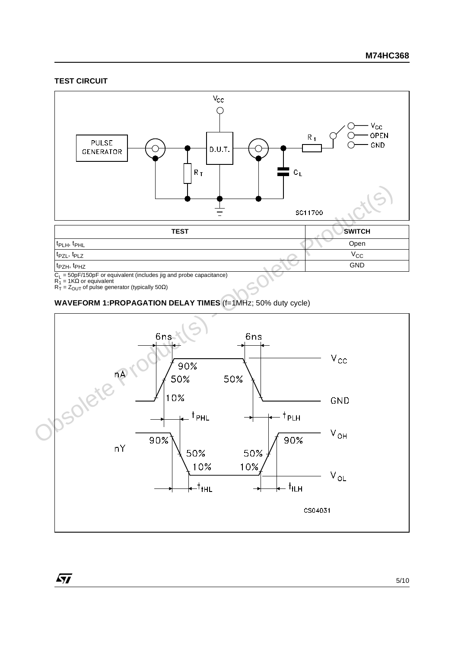#### **TEST CIRCUIT**



C<sub>L</sub> = 50pF/150pF or equivalent (includes jig and probe capacitance)<br>R<sub>1</sub> = 1KΩ or equivalent<br>R<sub>T</sub> = Z<sub>OUT</sub> of pulse generator (typically 50Ω)

 $\sqrt{27}$ 

**WAVEFORM 1:PROPAGATION DELAY TIMES** (f=1MHz; 50% duty cycle)

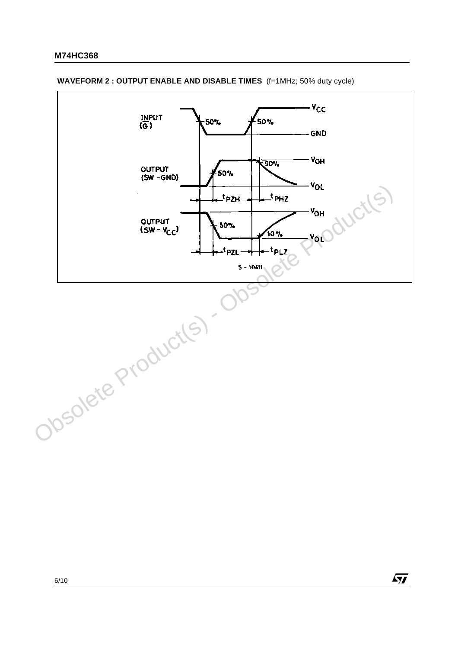

 $\sqrt{M}$ 

#### **WAVEFORM 2 : OUTPUT ENABLE AND DISABLE TIMES** (f=1MHz; 50% duty cycle)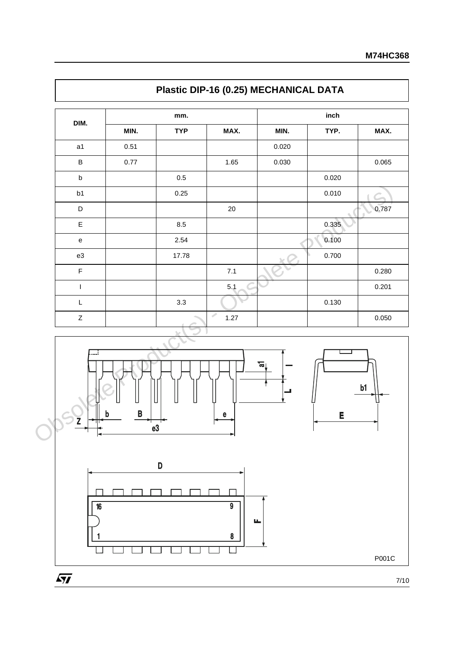|                |      | mm.                               |        |       | inch  |                              |
|----------------|------|-----------------------------------|--------|-------|-------|------------------------------|
| DIM.           | MIN. | <b>TYP</b>                        | MAX.   | MIN.  | TYP.  | MAX.                         |
| a1             | 0.51 |                                   |        | 0.020 |       |                              |
| $\sf B$        | 0.77 |                                   | 1.65   | 0.030 |       | 0.065                        |
| $\sf b$        |      | $0.5\,$                           |        |       | 0.020 |                              |
| b1             |      | 0.25                              |        |       | 0.010 |                              |
| D              |      |                                   | $20\,$ |       |       | 0.787<br>╰<br>$\blacksquare$ |
| $\mathsf E$    |      | 8.5                               |        |       | 0.335 |                              |
| ${\bf e}$      |      | 2.54                              |        |       | 0.100 |                              |
| ${\tt e3}$     |      | 17.78                             |        |       | 0.700 |                              |
| $\mathsf F$    |      |                                   | $7.1$  |       |       | 0.280                        |
| $\overline{1}$ |      |                                   | 5.1    |       |       | 0.201                        |
| L              |      | 3.3                               |        |       | 0.130 |                              |
| $\mathsf Z$    |      | <b>Contract Contract Contract</b> | 1.27   |       |       | 0.050                        |



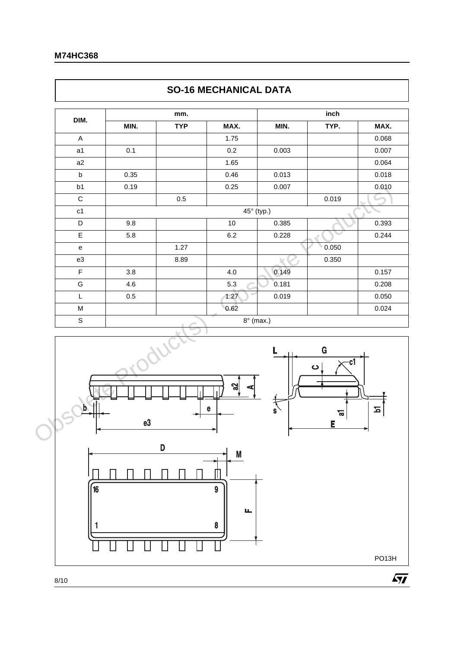$\Gamma$ 

| DIM.<br>A<br>a1<br>a2<br>$\mathsf b$<br>b1<br>$\mathbf C$<br>c1 | MIN.<br>0.1<br>0.35<br>0.19 | <b>TYP</b> | MAX.<br>1.75<br>$0.2\,$ | MIN.             | TYP.                                  | MAX.<br>0.068 |
|-----------------------------------------------------------------|-----------------------------|------------|-------------------------|------------------|---------------------------------------|---------------|
|                                                                 |                             |            |                         |                  |                                       |               |
|                                                                 |                             |            |                         |                  |                                       |               |
|                                                                 |                             |            |                         | 0.003            |                                       | 0.007         |
|                                                                 |                             |            | 1.65                    |                  |                                       | 0.064         |
|                                                                 |                             |            | 0.46                    | 0.013            |                                       | 0.018         |
|                                                                 |                             |            | 0.25                    | 0.007            |                                       | 0.010         |
|                                                                 |                             | $0.5\,$    |                         |                  | 0.019                                 |               |
|                                                                 |                             |            |                         | 45° (typ.)       |                                       |               |
| D                                                               | 9.8                         |            | 10                      | 0.385            |                                       | 0.393         |
| $\mathsf E$                                                     | 5.8                         |            | $6.2\,$                 | 0.228            |                                       | 0.244         |
| e                                                               |                             | 1.27       |                         |                  | 0.050                                 |               |
| e3                                                              |                             | 8.89       |                         |                  | 0.350                                 |               |
| $\mathsf F$                                                     | 3.8                         |            | $4.0$                   | 0.149            |                                       | 0.157         |
| G                                                               | 4.6                         |            | 5.3                     | 0.181            |                                       | 0.208         |
| L                                                               | 0.5                         |            | 1.27                    | 0.019            |                                       | 0.050         |
| M                                                               |                             |            | 0.62                    |                  |                                       | 0.024         |
| $\mathbb S$                                                     |                             |            |                         | $8^\circ$ (max.) |                                       |               |
|                                                                 | e3                          |            | പ്പ<br>e                | $\mathbf{s}$     | $\mathbf G$<br>c1<br>ပ<br>ត<br>ត<br>E | $\mathbf{z}$  |

## **SO-16 MECHANICAL DATA**







PO13H

 $\sqrt{M}$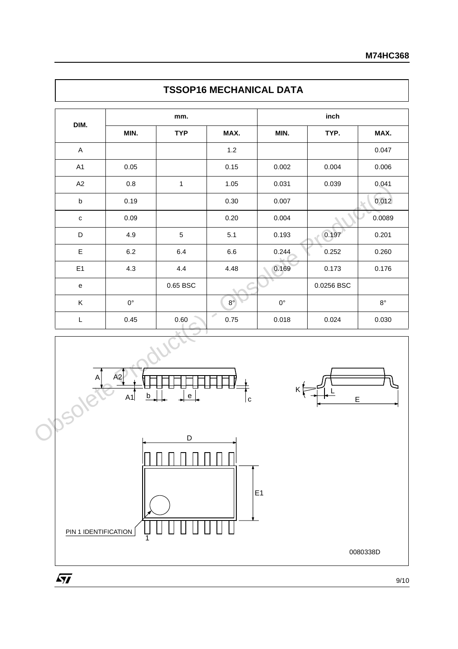| DIM.                      |                     | mm.                               |             |             | inch       |             |
|---------------------------|---------------------|-----------------------------------|-------------|-------------|------------|-------------|
|                           | MIN.                | <b>TYP</b>                        | MAX.        | MIN.        | TYP.       | MAX.        |
| $\boldsymbol{\mathsf{A}}$ |                     |                                   | $1.2$       |             |            | 0.047       |
| A1                        | 0.05                |                                   | 0.15        | 0.002       | 0.004      | 0.006       |
| A2                        | $0.8\,$             | $\mathbf{1}$                      | 1.05        | 0.031       | 0.039      | 0.041       |
| $\sf b$                   | 0.19                |                                   | $0.30\,$    | 0.007       |            | 0.012       |
| $\mathtt{C}$              | 0.09                |                                   | 0.20        | 0.004       |            | 0.0089      |
| D                         | 4.9                 | 5                                 | 5.1         | 0.193       | 0.197      | 0.201       |
| E                         | $6.2\,$             | 6.4                               | 6.6         | 0.244       | 0.252      | 0.260       |
| E <sub>1</sub>            | 4.3                 | 4.4                               | 4.48        | 0.169       | 0.173      | 0.176       |
| e                         |                     | 0.65 BSC                          |             |             | 0.0256 BSC |             |
| K                         | $0^{\circ}$         |                                   | $8^{\circ}$ | $0^{\circ}$ |            | $8^{\circ}$ |
| L                         | 0.45                | $0.60\,$                          | Í<br>0.75   | 0.018       | 0.024      | 0.030       |
| Α<br>Josole               | A2<br>$\sf b$<br>A1 | $\mathsf{e}% _{t}\left( t\right)$ |             |             |            |             |









0080338D

 $\sqrt{M}$